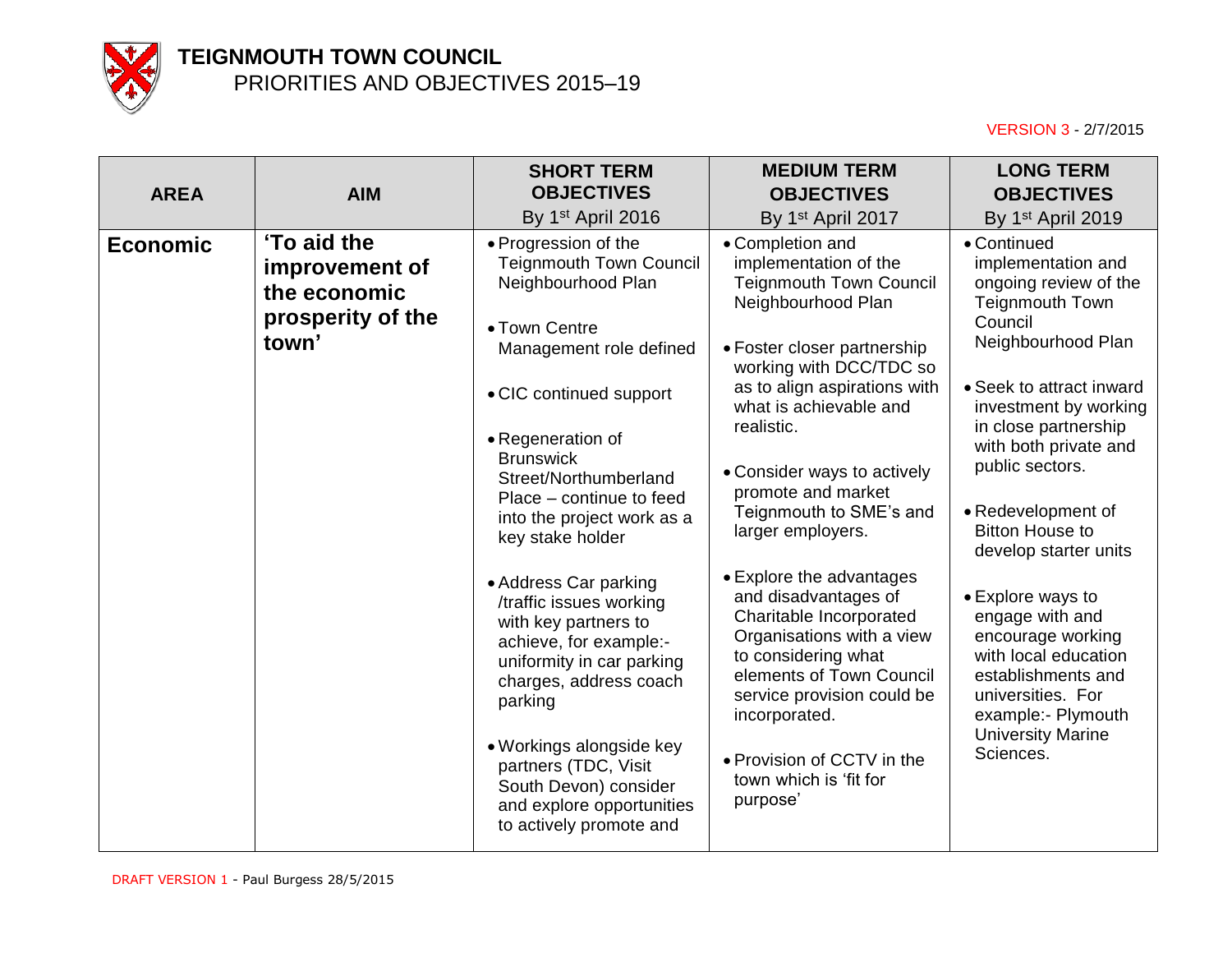

| <b>AREA</b>     | <b>AIM</b>                                                                  | <b>SHORT TERM</b><br><b>OBJECTIVES</b><br>By 1 <sup>st</sup> April 2016                                                                                                                                                                                                                                                                                                                                                                                                                                                                                                                                          | <b>MEDIUM TERM</b><br><b>OBJECTIVES</b><br>By 1 <sup>st</sup> April 2017                                                                                                                                                                                                                                                                                                                                                                                                                                                                                                                                                   | <b>LONG TERM</b><br><b>OBJECTIVES</b><br>By 1 <sup>st</sup> April 2019                                                                                                                                                                                                                                                                                                                                                                                                                                                 |
|-----------------|-----------------------------------------------------------------------------|------------------------------------------------------------------------------------------------------------------------------------------------------------------------------------------------------------------------------------------------------------------------------------------------------------------------------------------------------------------------------------------------------------------------------------------------------------------------------------------------------------------------------------------------------------------------------------------------------------------|----------------------------------------------------------------------------------------------------------------------------------------------------------------------------------------------------------------------------------------------------------------------------------------------------------------------------------------------------------------------------------------------------------------------------------------------------------------------------------------------------------------------------------------------------------------------------------------------------------------------------|------------------------------------------------------------------------------------------------------------------------------------------------------------------------------------------------------------------------------------------------------------------------------------------------------------------------------------------------------------------------------------------------------------------------------------------------------------------------------------------------------------------------|
| <b>Economic</b> | 'To aid the<br>improvement of<br>the economic<br>prosperity of the<br>town' | • Progression of the<br><b>Teignmouth Town Council</b><br>Neighbourhood Plan<br>• Town Centre<br>Management role defined<br>• CIC continued support<br>• Regeneration of<br><b>Brunswick</b><br>Street/Northumberland<br>Place - continue to feed<br>into the project work as a<br>key stake holder<br>• Address Car parking<br>/traffic issues working<br>with key partners to<br>achieve, for example:-<br>uniformity in car parking<br>charges, address coach<br>parking<br>• Workings alongside key<br>partners (TDC, Visit<br>South Devon) consider<br>and explore opportunities<br>to actively promote and | • Completion and<br>implementation of the<br><b>Teignmouth Town Council</b><br>Neighbourhood Plan<br>• Foster closer partnership<br>working with DCC/TDC so<br>as to align aspirations with<br>what is achievable and<br>realistic.<br>• Consider ways to actively<br>promote and market<br>Teignmouth to SME's and<br>larger employers.<br>• Explore the advantages<br>and disadvantages of<br>Charitable Incorporated<br>Organisations with a view<br>to considering what<br>elements of Town Council<br>service provision could be<br>incorporated.<br>• Provision of CCTV in the<br>town which is 'fit for<br>purpose' | • Continued<br>implementation and<br>ongoing review of the<br><b>Teignmouth Town</b><br>Council<br>Neighbourhood Plan<br>• Seek to attract inward<br>investment by working<br>in close partnership<br>with both private and<br>public sectors.<br>• Redevelopment of<br><b>Bitton House to</b><br>develop starter units<br>• Explore ways to<br>engage with and<br>encourage working<br>with local education<br>establishments and<br>universities. For<br>example:- Plymouth<br><b>University Marine</b><br>Sciences. |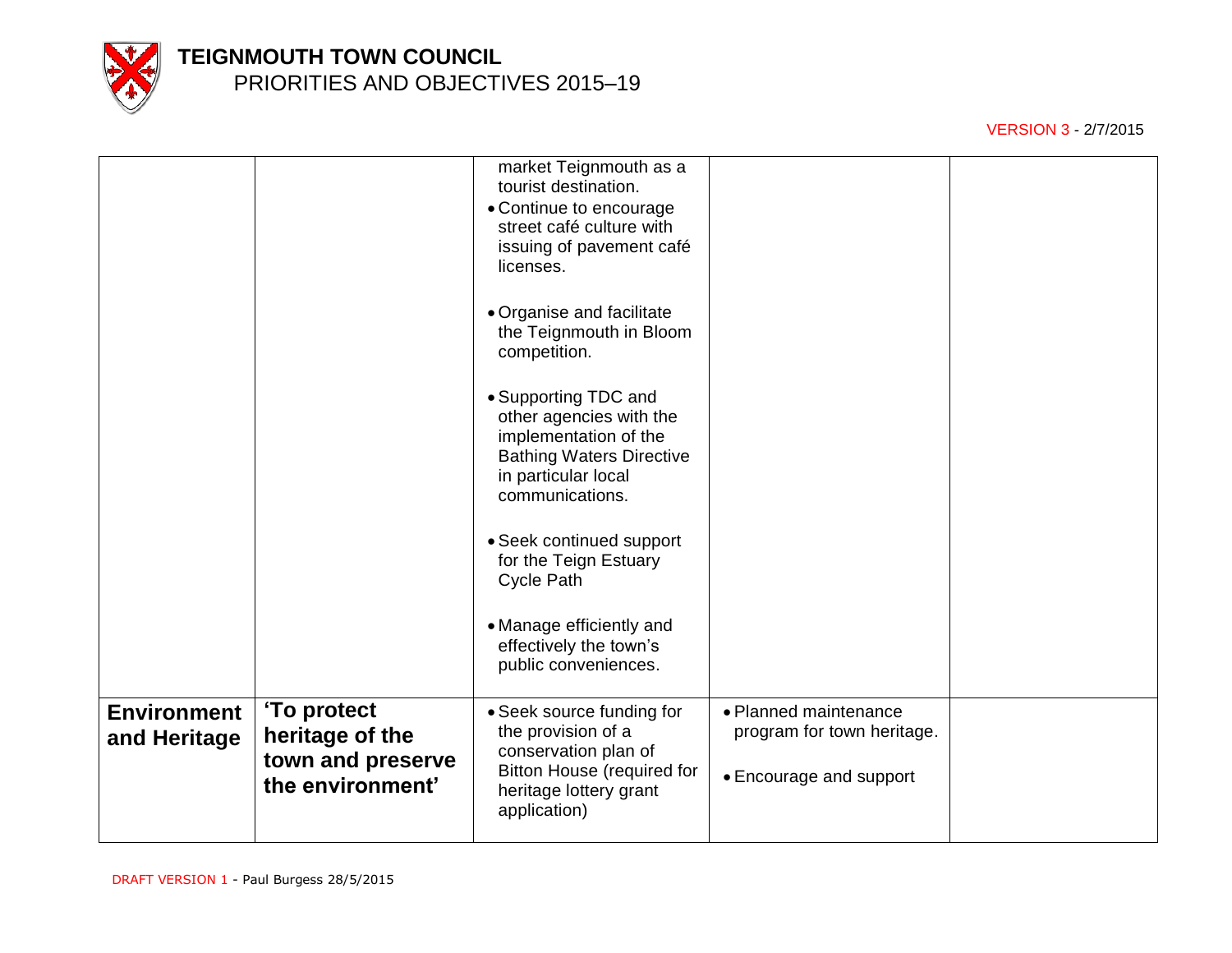

|                                    |                                                                         | market Teignmouth as a<br>tourist destination.<br>• Continue to encourage<br>street café culture with<br>issuing of pavement café<br>licenses.<br>• Organise and facilitate<br>the Teignmouth in Bloom<br>competition.<br>• Supporting TDC and<br>other agencies with the<br>implementation of the<br><b>Bathing Waters Directive</b><br>in particular local<br>communications.<br>• Seek continued support<br>for the Teign Estuary<br><b>Cycle Path</b><br>• Manage efficiently and<br>effectively the town's<br>public conveniences. |                                                                                |  |
|------------------------------------|-------------------------------------------------------------------------|-----------------------------------------------------------------------------------------------------------------------------------------------------------------------------------------------------------------------------------------------------------------------------------------------------------------------------------------------------------------------------------------------------------------------------------------------------------------------------------------------------------------------------------------|--------------------------------------------------------------------------------|--|
|                                    |                                                                         |                                                                                                                                                                                                                                                                                                                                                                                                                                                                                                                                         |                                                                                |  |
| <b>Environment</b><br>and Heritage | 'To protect<br>heritage of the<br>town and preserve<br>the environment' | • Seek source funding for<br>the provision of a<br>conservation plan of<br><b>Bitton House (required for</b><br>heritage lottery grant<br>application)                                                                                                                                                                                                                                                                                                                                                                                  | • Planned maintenance<br>program for town heritage.<br>• Encourage and support |  |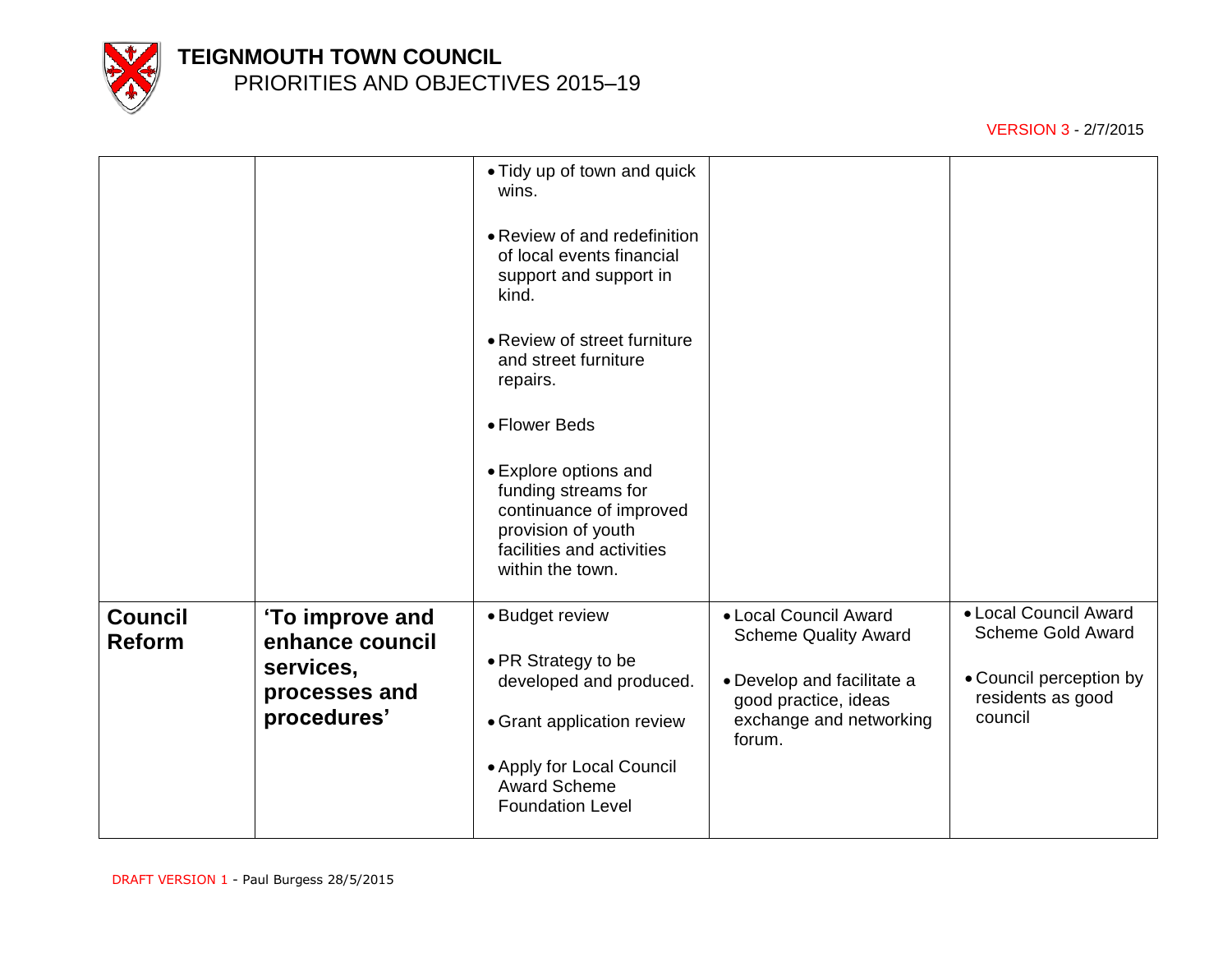

|                                 |                                                                                 | • Tidy up of town and quick<br>wins.<br>• Review of and redefinition<br>of local events financial<br>support and support in<br>kind.<br>• Review of street furniture<br>and street furniture<br>repairs.<br>• Flower Beds<br>• Explore options and<br>funding streams for<br>continuance of improved<br>provision of youth<br>facilities and activities<br>within the town. |                                                                                                                                                 |                                                                                                              |
|---------------------------------|---------------------------------------------------------------------------------|-----------------------------------------------------------------------------------------------------------------------------------------------------------------------------------------------------------------------------------------------------------------------------------------------------------------------------------------------------------------------------|-------------------------------------------------------------------------------------------------------------------------------------------------|--------------------------------------------------------------------------------------------------------------|
| <b>Council</b><br><b>Reform</b> | 'To improve and<br>enhance council<br>services,<br>processes and<br>procedures' | • Budget review<br>• PR Strategy to be<br>developed and produced.<br>• Grant application review<br>• Apply for Local Council<br><b>Award Scheme</b><br><b>Foundation Level</b>                                                                                                                                                                                              | • Local Council Award<br><b>Scheme Quality Award</b><br>• Develop and facilitate a<br>good practice, ideas<br>exchange and networking<br>forum. | • Local Council Award<br><b>Scheme Gold Award</b><br>• Council perception by<br>residents as good<br>council |